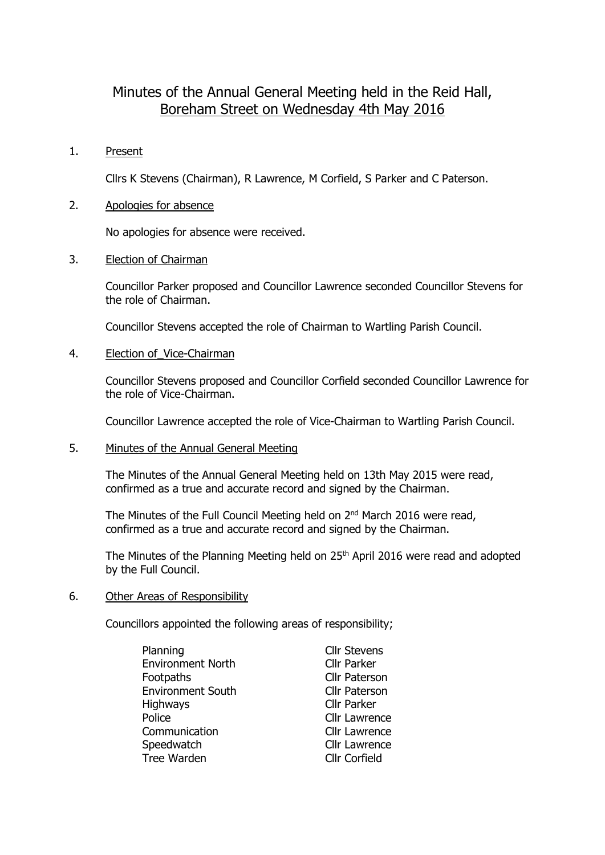# Minutes of the Annual General Meeting held in the Reid Hall, Boreham Street on Wednesday 4th May 2016

## 1. Present

Cllrs K Stevens (Chairman), R Lawrence, M Corfield, S Parker and C Paterson.

## 2. Apologies for absence

No apologies for absence were received.

### 3. Election of Chairman

Councillor Parker proposed and Councillor Lawrence seconded Councillor Stevens for the role of Chairman.

Councillor Stevens accepted the role of Chairman to Wartling Parish Council.

### 4. Election of Vice-Chairman

Councillor Stevens proposed and Councillor Corfield seconded Councillor Lawrence for the role of Vice-Chairman.

Councillor Lawrence accepted the role of Vice-Chairman to Wartling Parish Council.

#### 5. Minutes of the Annual General Meeting

The Minutes of the Annual General Meeting held on 13th May 2015 were read, confirmed as a true and accurate record and signed by the Chairman.

The Minutes of the Full Council Meeting held on 2<sup>nd</sup> March 2016 were read, confirmed as a true and accurate record and signed by the Chairman.

The Minutes of the Planning Meeting held on 25<sup>th</sup> April 2016 were read and adopted by the Full Council.

#### 6. Other Areas of Responsibility

Councillors appointed the following areas of responsibility;

| Planning                 | <b>Cllr Stevens</b>  |
|--------------------------|----------------------|
| <b>Environment North</b> | <b>Cllr Parker</b>   |
| Footpaths                | <b>Cllr Paterson</b> |
| <b>Environment South</b> | <b>Cllr Paterson</b> |
| <b>Highways</b>          | Cllr Parker          |
| Police                   | <b>Cllr Lawrence</b> |
| Communication            | <b>Cllr Lawrence</b> |
| Speedwatch               | <b>Cllr Lawrence</b> |
| Tree Warden              | <b>Cllr Corfield</b> |
|                          |                      |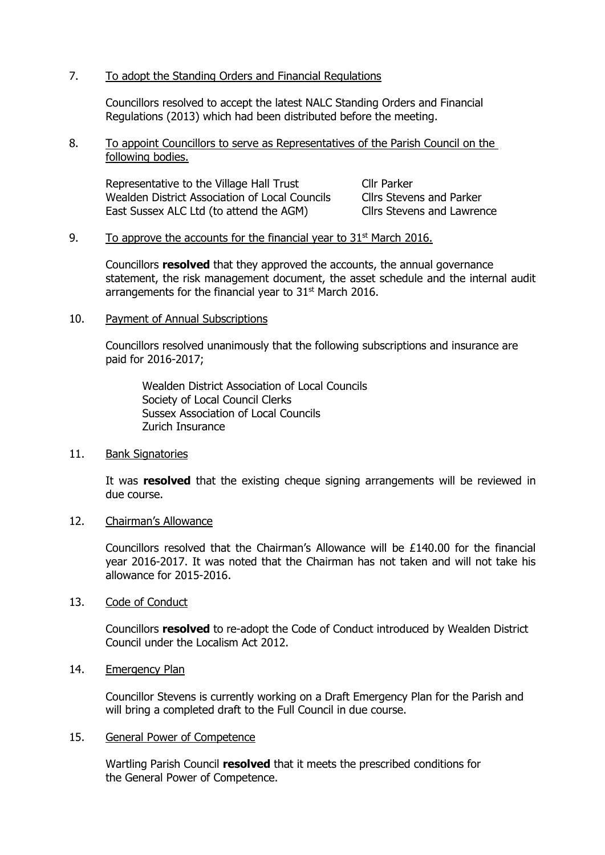# 7. To adopt the Standing Orders and Financial Regulations

Councillors resolved to accept the latest NALC Standing Orders and Financial Regulations (2013) which had been distributed before the meeting.

8. To appoint Councillors to serve as Representatives of the Parish Council on the following bodies.

Representative to the Village Hall Trust Cllr Parker Wealden District Association of Local Councils Cllrs Stevens and Parker East Sussex ALC Ltd (to attend the AGM) Cllrs Stevens and Lawrence

### 9. To approve the accounts for the financial year to  $31<sup>st</sup>$  March 2016.

Councillors **resolved** that they approved the accounts, the annual governance statement, the risk management document, the asset schedule and the internal audit arrangements for the financial year to 31<sup>st</sup> March 2016.

10. Payment of Annual Subscriptions

Councillors resolved unanimously that the following subscriptions and insurance are paid for 2016-2017;

Wealden District Association of Local Councils Society of Local Council Clerks Sussex Association of Local Councils Zurich Insurance

11. Bank Signatories

It was **resolved** that the existing cheque signing arrangements will be reviewed in due course.

12. Chairman's Allowance

Councillors resolved that the Chairman's Allowance will be £140.00 for the financial year 2016-2017. It was noted that the Chairman has not taken and will not take his allowance for 2015-2016.

13. Code of Conduct

Councillors **resolved** to re-adopt the Code of Conduct introduced by Wealden District Council under the Localism Act 2012.

14. Emergency Plan

Councillor Stevens is currently working on a Draft Emergency Plan for the Parish and will bring a completed draft to the Full Council in due course.

#### 15. General Power of Competence

Wartling Parish Council **resolved** that it meets the prescribed conditions for the General Power of Competence.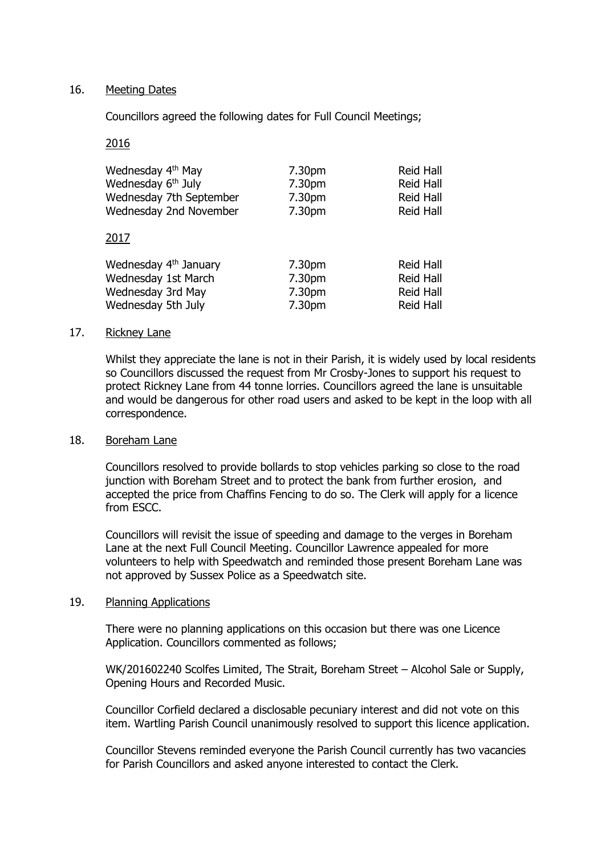# 16. Meeting Dates

Councillors agreed the following dates for Full Council Meetings;

## 2016

| Wednesday 4 <sup>th</sup> May  | 7.30pm | Reid Hall |
|--------------------------------|--------|-----------|
| Wednesday 6 <sup>th</sup> July | 7.30pm | Reid Hall |
| Wednesday 7th September        | 7.30pm | Reid Hall |
| Wednesday 2nd November<br>2017 | 7.30pm | Reid Hall |

| Wednesday 4 <sup>th</sup> January | 7.30pm | Reid Hall |
|-----------------------------------|--------|-----------|
| Wednesday 1st March               | 7.30pm | Reid Hall |
| Wednesday 3rd May                 | 7.30pm | Reid Hall |
| Wednesday 5th July                | 7.30pm | Reid Hall |

### 17. Rickney Lane

Whilst they appreciate the lane is not in their Parish, it is widely used by local residents so Councillors discussed the request from Mr Crosby-Jones to support his request to protect Rickney Lane from 44 tonne lorries. Councillors agreed the lane is unsuitable and would be dangerous for other road users and asked to be kept in the loop with all correspondence.

#### 18. Boreham Lane

Councillors resolved to provide bollards to stop vehicles parking so close to the road junction with Boreham Street and to protect the bank from further erosion, and accepted the price from Chaffins Fencing to do so. The Clerk will apply for a licence from ESCC.

Councillors will revisit the issue of speeding and damage to the verges in Boreham Lane at the next Full Council Meeting. Councillor Lawrence appealed for more volunteers to help with Speedwatch and reminded those present Boreham Lane was not approved by Sussex Police as a Speedwatch site.

# 19. Planning Applications

There were no planning applications on this occasion but there was one Licence Application. Councillors commented as follows;

WK/201602240 Scolfes Limited, The Strait, Boreham Street – Alcohol Sale or Supply, Opening Hours and Recorded Music.

Councillor Corfield declared a disclosable pecuniary interest and did not vote on this item. Wartling Parish Council unanimously resolved to support this licence application.

Councillor Stevens reminded everyone the Parish Council currently has two vacancies for Parish Councillors and asked anyone interested to contact the Clerk.